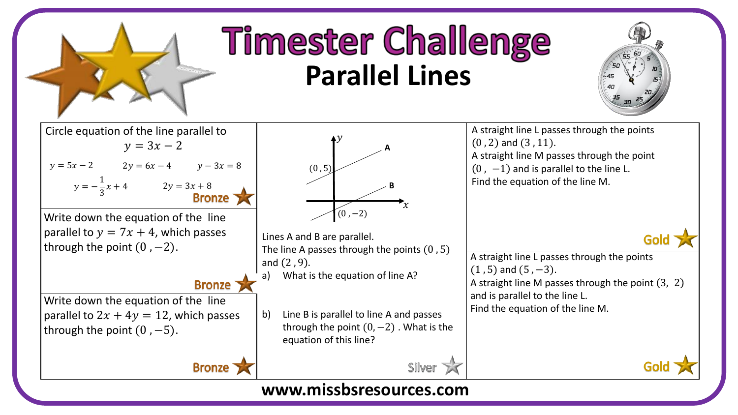

## **Timester Challenge Parallel Lines**